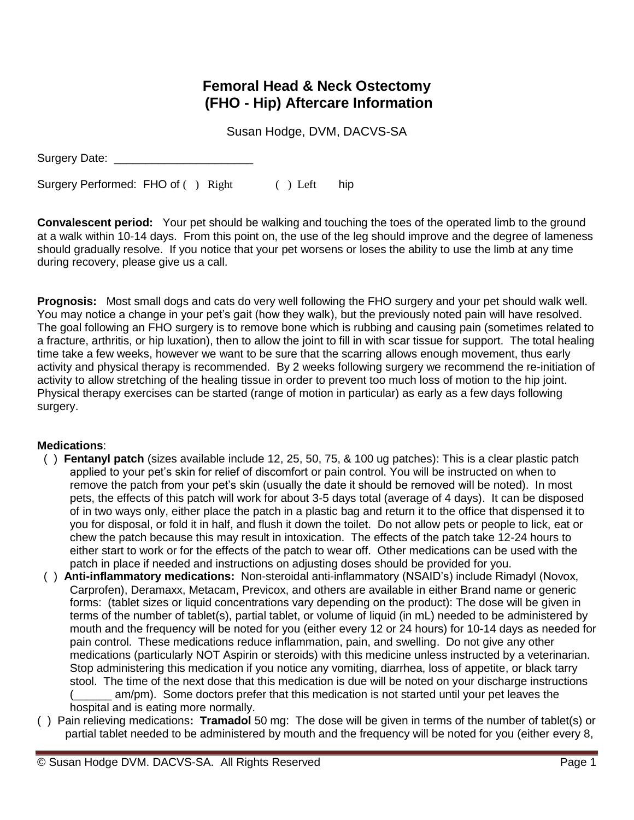## **Femoral Head & Neck Ostectomy (FHO - Hip) Aftercare Information**

Susan Hodge, DVM, DACVS-SA

Surgery Date:

Surgery Performed: FHO of ( ) Right ( ) Left hip

**Convalescent period:** Your pet should be walking and touching the toes of the operated limb to the ground at a walk within 10-14 days. From this point on, the use of the leg should improve and the degree of lameness should gradually resolve. If you notice that your pet worsens or loses the ability to use the limb at any time during recovery, please give us a call.

**Prognosis:** Most small dogs and cats do very well following the FHO surgery and your pet should walk well. You may notice a change in your pet's gait (how they walk), but the previously noted pain will have resolved. The goal following an FHO surgery is to remove bone which is rubbing and causing pain (sometimes related to a fracture, arthritis, or hip luxation), then to allow the joint to fill in with scar tissue for support. The total healing time take a few weeks, however we want to be sure that the scarring allows enough movement, thus early activity and physical therapy is recommended. By 2 weeks following surgery we recommend the re-initiation of activity to allow stretching of the healing tissue in order to prevent too much loss of motion to the hip joint. Physical therapy exercises can be started (range of motion in particular) as early as a few days following surgery.

## **Medications**:

- ( ) **Fentanyl patch** (sizes available include 12, 25, 50, 75, & 100 ug patches): This is a clear plastic patch applied to your pet's skin for relief of discomfort or pain control. You will be instructed on when to remove the patch from your pet's skin (usually the date it should be removed will be noted). In most pets, the effects of this patch will work for about 3-5 days total (average of 4 days). It can be disposed of in two ways only, either place the patch in a plastic bag and return it to the office that dispensed it to you for disposal, or fold it in half, and flush it down the toilet. Do not allow pets or people to lick, eat or chew the patch because this may result in intoxication. The effects of the patch take 12-24 hours to either start to work or for the effects of the patch to wear off. Other medications can be used with the patch in place if needed and instructions on adjusting doses should be provided for you.
- ( ) **Anti-inflammatory medications:** Non-steroidal anti-inflammatory (NSAID's) include Rimadyl (Novox, Carprofen), Deramaxx, Metacam, Previcox, and others are available in either Brand name or generic forms: (tablet sizes or liquid concentrations vary depending on the product): The dose will be given in terms of the number of tablet(s), partial tablet, or volume of liquid (in mL) needed to be administered by mouth and the frequency will be noted for you (either every 12 or 24 hours) for 10-14 days as needed for pain control. These medications reduce inflammation, pain, and swelling. Do not give any other medications (particularly NOT Aspirin or steroids) with this medicine unless instructed by a veterinarian. Stop administering this medication if you notice any vomiting, diarrhea, loss of appetite, or black tarry stool. The time of the next dose that this medication is due will be noted on your discharge instructions am/pm). Some doctors prefer that this medication is not started until your pet leaves the hospital and is eating more normally.
- ( ) Pain relieving medications**: Tramadol** 50 mg: The dose will be given in terms of the number of tablet(s) or partial tablet needed to be administered by mouth and the frequency will be noted for you (either every 8,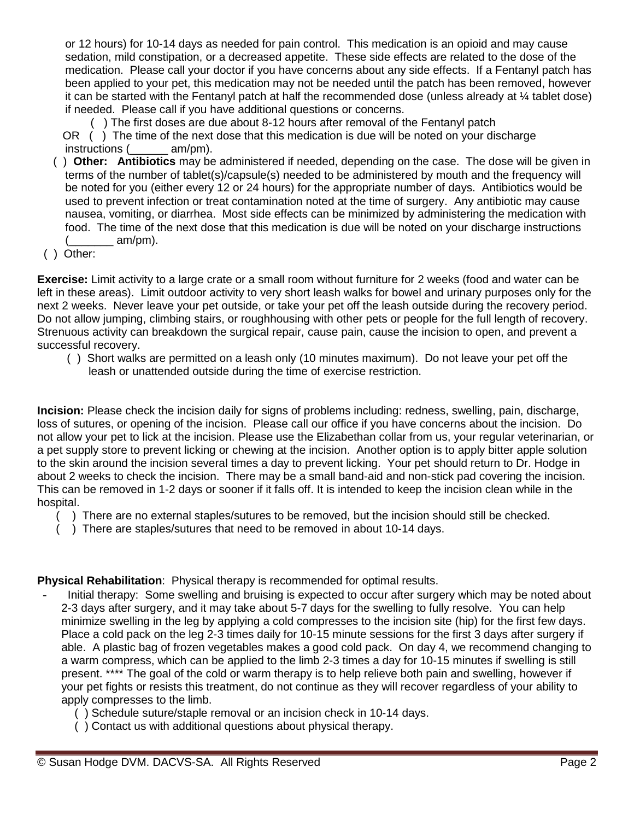or 12 hours) for 10-14 days as needed for pain control. This medication is an opioid and may cause sedation, mild constipation, or a decreased appetite. These side effects are related to the dose of the medication. Please call your doctor if you have concerns about any side effects. If a Fentanyl patch has been applied to your pet, this medication may not be needed until the patch has been removed, however it can be started with the Fentanyl patch at half the recommended dose (unless already at ¼ tablet dose) if needed. Please call if you have additional questions or concerns.

( ) The first doses are due about 8-12 hours after removal of the Fentanyl patch

 OR ( ) The time of the next dose that this medication is due will be noted on your discharge instructions (\_\_\_\_\_\_ am/pm).

- ( ) **Other: Antibiotics** may be administered if needed, depending on the case. The dose will be given in terms of the number of tablet(s)/capsule(s) needed to be administered by mouth and the frequency will be noted for you (either every 12 or 24 hours) for the appropriate number of days. Antibiotics would be used to prevent infection or treat contamination noted at the time of surgery. Any antibiotic may cause nausea, vomiting, or diarrhea. Most side effects can be minimized by administering the medication with food. The time of the next dose that this medication is due will be noted on your discharge instructions am/pm).
- ( ) Other:

**Exercise:** Limit activity to a large crate or a small room without furniture for 2 weeks (food and water can be left in these areas). Limit outdoor activity to very short leash walks for bowel and urinary purposes only for the next 2 weeks. Never leave your pet outside, or take your pet off the leash outside during the recovery period. Do not allow jumping, climbing stairs, or roughhousing with other pets or people for the full length of recovery. Strenuous activity can breakdown the surgical repair, cause pain, cause the incision to open, and prevent a successful recovery.

 ( ) Short walks are permitted on a leash only (10 minutes maximum). Do not leave your pet off the leash or unattended outside during the time of exercise restriction.

**Incision:** Please check the incision daily for signs of problems including: redness, swelling, pain, discharge, loss of sutures, or opening of the incision. Please call our office if you have concerns about the incision. Do not allow your pet to lick at the incision. Please use the Elizabethan collar from us, your regular veterinarian, or a pet supply store to prevent licking or chewing at the incision. Another option is to apply bitter apple solution to the skin around the incision several times a day to prevent licking. Your pet should return to Dr. Hodge in about 2 weeks to check the incision. There may be a small band-aid and non-stick pad covering the incision. This can be removed in 1-2 days or sooner if it falls off. It is intended to keep the incision clean while in the hospital.

- ( ) There are no external staples/sutures to be removed, but the incision should still be checked.
- ( ) There are staples/sutures that need to be removed in about 10-14 days.

**Physical Rehabilitation**: Physical therapy is recommended for optimal results.

- Initial therapy: Some swelling and bruising is expected to occur after surgery which may be noted about 2-3 days after surgery, and it may take about 5-7 days for the swelling to fully resolve. You can help minimize swelling in the leg by applying a cold compresses to the incision site (hip) for the first few days. Place a cold pack on the leg 2-3 times daily for 10-15 minute sessions for the first 3 days after surgery if able. A plastic bag of frozen vegetables makes a good cold pack. On day 4, we recommend changing to a warm compress, which can be applied to the limb 2-3 times a day for 10-15 minutes if swelling is still present. \*\*\*\* The goal of the cold or warm therapy is to help relieve both pain and swelling, however if your pet fights or resists this treatment, do not continue as they will recover regardless of your ability to apply compresses to the limb.
	- ( ) Schedule suture/staple removal or an incision check in 10-14 days.
	- ( ) Contact us with additional questions about physical therapy.